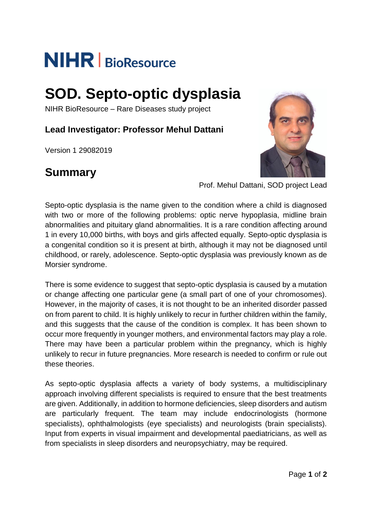# **NIHR** | BioResource

## **SOD. Septo-optic dysplasia**

NIHR BioResource – Rare Diseases study project

**Lead Investigator: Professor Mehul Dattani**

Version 1 29082019

## **Summary**



Prof. Mehul Dattani, SOD project Lead

Septo-optic dysplasia is the name given to the condition where a child is diagnosed with two or more of the following problems: optic nerve hypoplasia, midline brain abnormalities and pituitary gland abnormalities. It is a rare condition affecting around 1 in every 10,000 births, with boys and girls affected equally. Septo-optic dysplasia is a congenital condition so it is present at birth, although it may not be diagnosed until childhood, or rarely, adolescence. Septo-optic dysplasia was previously known as de Morsier syndrome.

There is some evidence to suggest that septo-optic dysplasia is caused by a mutation or change affecting one particular gene (a small part of one of your chromosomes). However, in the majority of cases, it is not thought to be an inherited disorder passed on from parent to child. It is highly unlikely to recur in further children within the family, and this suggests that the cause of the condition is complex. It has been shown to occur more frequently in younger mothers, and environmental factors may play a role. There may have been a particular problem within the pregnancy, which is highly unlikely to recur in future pregnancies. More research is needed to confirm or rule out these theories.

As septo-optic dysplasia affects a variety of body systems, a multidisciplinary approach involving different specialists is required to ensure that the best treatments are given. Additionally, in addition to hormone deficiencies, sleep disorders and autism are particularly frequent. The team may include endocrinologists (hormone specialists), ophthalmologists (eye specialists) and neurologists (brain specialists). Input from experts in visual impairment and developmental paediatricians, as well as from specialists in sleep disorders and neuropsychiatry, may be required.